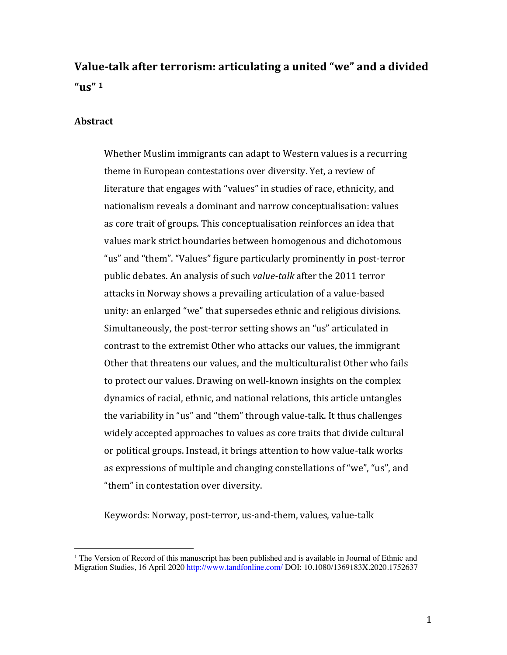# **Value-talk after terrorism: articulating a united "we" and a divided "us" <sup>1</sup>**

### **Abstract**

Whether Muslim immigrants can adapt to Western values is a recurring theme in European contestations over diversity. Yet, a review of literature that engages with "values" in studies of race, ethnicity, and nationalism reveals a dominant and narrow conceptualisation: values as core trait of groups. This conceptualisation reinforces an idea that values mark strict boundaries between homogenous and dichotomous "us" and "them". "Values" figure particularly prominently in post-terror public debates. An analysis of such *value-talk* after the 2011 terror attacks in Norway shows a prevailing articulation of a value-based unity: an enlarged "we" that supersedes ethnic and religious divisions. Simultaneously, the post-terror setting shows an "us" articulated in contrast to the extremist Other who attacks our values, the immigrant Other that threatens our values, and the multiculturalist Other who fails to protect our values. Drawing on well-known insights on the complex dynamics of racial, ethnic, and national relations, this article untangles the variability in "us" and "them" through value-talk. It thus challenges widely accepted approaches to values as core traits that divide cultural or political groups. Instead, it brings attention to how value-talk works as expressions of multiple and changing constellations of "we", "us", and "them" in contestation over diversity.

Keywords: Norway, post-terror, us-and-them, values, value-talk

<sup>&</sup>lt;sup>1</sup> The Version of Record of this manuscript has been published and is available in Journal of Ethnic and Migration Studies, 16 April 2020 http://www.tandfonline.com/ DOI: 10.1080/1369183X.2020.1752637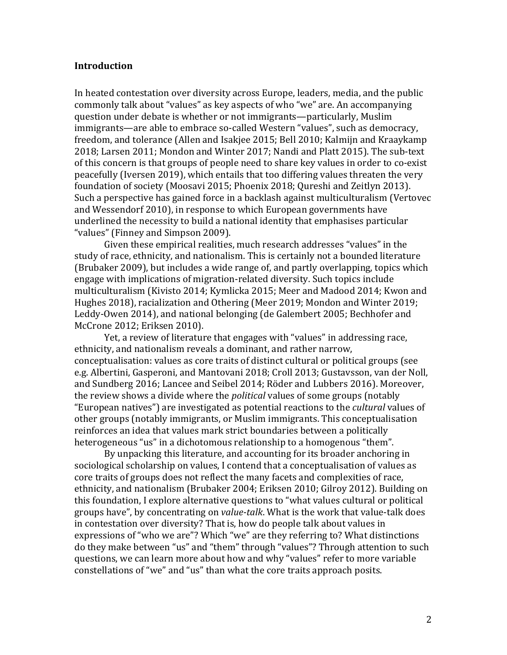#### **Introduction**

In heated contestation over diversity across Europe, leaders, media, and the public commonly talk about "values" as key aspects of who "we" are. An accompanying question under debate is whether or not immigrants—particularly, Muslim immigrants—are able to embrace so-called Western "values", such as democracy, freedom, and tolerance (Allen and Isakjee 2015; Bell 2010; Kalmiin and Kraavkamp 2018; Larsen 2011; Mondon and Winter 2017; Nandi and Platt 2015). The sub-text of this concern is that groups of people need to share key values in order to co-exist peacefully (Iversen 2019), which entails that too differing values threaten the very foundation of society (Moosavi 2015; Phoenix 2018; Qureshi and Zeitlyn 2013). Such a perspective has gained force in a backlash against multiculturalism (Vertovec and Wessendorf 2010), in response to which European governments have underlined the necessity to build a national identity that emphasises particular "values" (Finney and Simpson 2009).

Given these empirical realities, much research addresses "values" in the study of race, ethnicity, and nationalism. This is certainly not a bounded literature (Brubaker 2009), but includes a wide range of, and partly overlapping, topics which engage with implications of migration-related diversity. Such topics include multiculturalism (Kivisto 2014; Kymlicka 2015; Meer and Madood 2014; Kwon and Hughes 2018), racialization and Othering (Meer 2019; Mondon and Winter 2019; Leddy-Owen 2014), and national belonging (de Galembert 2005; Bechhofer and McCrone 2012; Eriksen 2010).

Yet, a review of literature that engages with "values" in addressing race, ethnicity, and nationalism reveals a dominant, and rather narrow, conceptualisation: values as core traits of distinct cultural or political groups (see e.g. Albertini, Gasperoni, and Mantovani 2018; Croll 2013; Gustavsson, van der Noll, and Sundberg 2016; Lancee and Seibel 2014; Röder and Lubbers 2016). Moreover, the review shows a divide where the *political* values of some groups (notably "European natives") are investigated as potential reactions to the *cultural* values of other groups (notably immigrants, or Muslim immigrants. This conceptualisation reinforces an idea that values mark strict boundaries between a politically heterogeneous "us" in a dichotomous relationship to a homogenous "them".

By unpacking this literature, and accounting for its broader anchoring in sociological scholarship on values, I contend that a conceptualisation of values as core traits of groups does not reflect the many facets and complexities of race, ethnicity, and nationalism (Brubaker 2004; Eriksen 2010; Gilroy 2012). Building on this foundation, I explore alternative questions to "what values cultural or political groups have", by concentrating on *value-talk*. What is the work that value-talk does in contestation over diversity? That is, how do people talk about values in expressions of "who we are"? Which "we" are they referring to? What distinctions do they make between "us" and "them" through "values"? Through attention to such questions, we can learn more about how and why "values" refer to more variable constellations of "we" and "us" than what the core traits approach posits.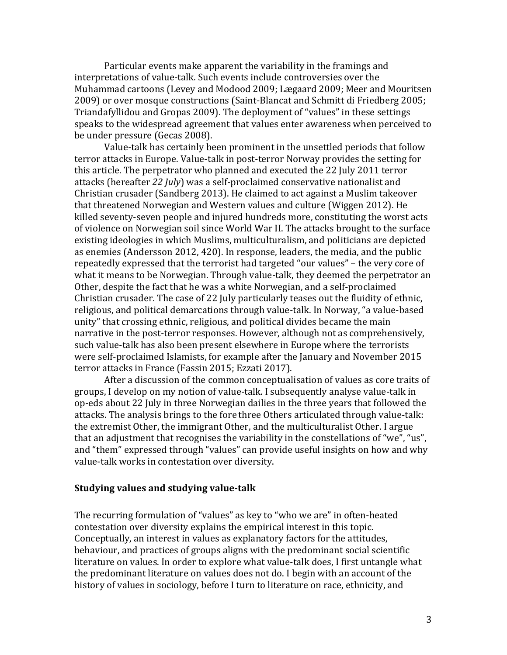Particular events make apparent the variability in the framings and interpretations of value-talk. Such events include controversies over the Muhammad cartoons (Levey and Modood 2009; Lægaard 2009; Meer and Mouritsen 2009) or over mosque constructions (Saint-Blancat and Schmitt di Friedberg 2005; Triandafyllidou and Gropas 2009). The deployment of "values" in these settings speaks to the widespread agreement that values enter awareness when perceived to be under pressure (Gecas 2008).

Value-talk has certainly been prominent in the unsettled periods that follow terror attacks in Europe. Value-talk in post-terror Norway provides the setting for this article. The perpetrator who planned and executed the 22 July 2011 terror attacks (hereafter 22 *July*) was a self-proclaimed conservative nationalist and Christian crusader (Sandberg 2013). He claimed to act against a Muslim takeover that threatened Norwegian and Western values and culture (Wiggen 2012). He killed seventy-seven people and injured hundreds more, constituting the worst acts of violence on Norwegian soil since World War II. The attacks brought to the surface existing ideologies in which Muslims, multiculturalism, and politicians are depicted as enemies (Andersson 2012, 420). In response, leaders, the media, and the public repeatedly expressed that the terrorist had targeted "our values" - the very core of what it means to be Norwegian. Through value-talk, they deemed the perpetrator an Other, despite the fact that he was a white Norwegian, and a self-proclaimed Christian crusader. The case of 22 July particularly teases out the fluidity of ethnic, religious, and political demarcations through value-talk. In Norway, "a value-based unity" that crossing ethnic, religious, and political divides became the main narrative in the post-terror responses. However, although not as comprehensively, such value-talk has also been present elsewhere in Europe where the terrorists were self-proclaimed Islamists, for example after the January and November 2015 terror attacks in France (Fassin 2015; Ezzati 2017).

After a discussion of the common conceptualisation of values as core traits of groups, I develop on my notion of value-talk. I subsequently analyse value-talk in op-eds about 22 July in three Norwegian dailies in the three years that followed the attacks. The analysis brings to the fore three Others articulated through value-talk: the extremist Other, the immigrant Other, and the multiculturalist Other. I argue that an adjustment that recognises the variability in the constellations of "we", "us", and "them" expressed through "values" can provide useful insights on how and why value-talk works in contestation over diversity.

## **Studying values and studying value-talk**

The recurring formulation of "values" as key to "who we are" in often-heated contestation over diversity explains the empirical interest in this topic. Conceptually, an interest in values as explanatory factors for the attitudes, behaviour, and practices of groups aligns with the predominant social scientific literature on values. In order to explore what value-talk does, I first untangle what the predominant literature on values does not do. I begin with an account of the history of values in sociology, before I turn to literature on race, ethnicity, and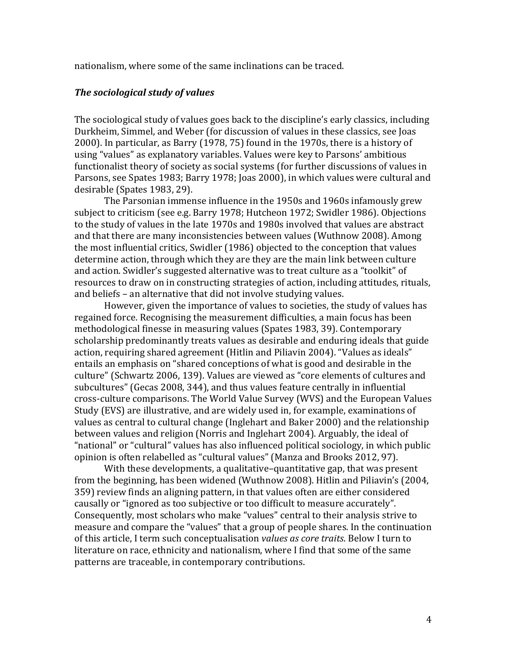nationalism, where some of the same inclinations can be traced.

#### *The sociological study of values*

The sociological study of values goes back to the discipline's early classics, including Durkheim, Simmel, and Weber (for discussion of values in these classics, see Joas 2000). In particular, as Barry (1978, 75) found in the 1970s, there is a history of using "values" as explanatory variables. Values were key to Parsons' ambitious functionalist theory of society as social systems (for further discussions of values in Parsons, see Spates 1983; Barry 1978; Joas 2000), in which values were cultural and desirable (Spates 1983, 29).

The Parsonian immense influence in the 1950s and 1960s infamously grew subject to criticism (see e.g. Barry 1978; Hutcheon 1972; Swidler 1986). Objections to the study of values in the late 1970s and 1980s involved that values are abstract and that there are many inconsistencies between values (Wuthnow 2008). Among the most influential critics, Swidler (1986) objected to the conception that values determine action, through which they are they are the main link between culture and action. Swidler's suggested alternative was to treat culture as a "toolkit" of resources to draw on in constructing strategies of action, including attitudes, rituals, and beliefs – an alternative that did not involve studying values.

However, given the importance of values to societies, the study of values has regained force. Recognising the measurement difficulties, a main focus has been methodological finesse in measuring values (Spates 1983, 39). Contemporary scholarship predominantly treats values as desirable and enduring ideals that guide action, requiring shared agreement (Hitlin and Piliavin 2004). "Values as ideals" entails an emphasis on "shared conceptions of what is good and desirable in the culture" (Schwartz 2006, 139). Values are viewed as "core elements of cultures and subcultures" (Gecas 2008, 344), and thus values feature centrally in influential cross-culture comparisons. The World Value Survey (WVS) and the European Values Study (EVS) are illustrative, and are widely used in, for example, examinations of values as central to cultural change (Inglehart and Baker 2000) and the relationship between values and religion (Norris and Inglehart 2004). Arguably, the ideal of "national" or "cultural" values has also influenced political sociology, in which public opinion is often relabelled as "cultural values" (Manza and Brooks 2012, 97).

With these developments, a qualitative–quantitative gap, that was present from the beginning, has been widened (Wuthnow 2008). Hitlin and Piliavin's (2004, 359) review finds an aligning pattern, in that values often are either considered causally or "ignored as too subjective or too difficult to measure accurately". Consequently, most scholars who make "values" central to their analysis strive to measure and compare the "values" that a group of people shares. In the continuation of this article, I term such conceptualisation *values as core traits*. Below I turn to literature on race, ethnicity and nationalism, where I find that some of the same patterns are traceable, in contemporary contributions.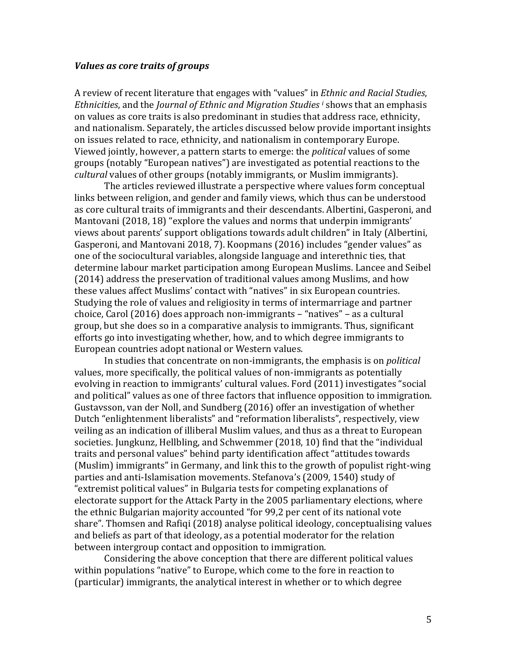#### *Values as core traits of groups*

A review of recent literature that engages with "values" in *Ethnic and Racial Studies*, *Ethnicities*, and the *Journal of Ethnic and Migration Studies i* shows that an emphasis on values as core traits is also predominant in studies that address race, ethnicity, and nationalism. Separately, the articles discussed below provide important insights on issues related to race, ethnicity, and nationalism in contemporary Europe. Viewed jointly, however, a pattern starts to emerge: the *political* values of some groups (notably "European natives") are investigated as potential reactions to the *cultural* values of other groups (notably immigrants, or Muslim immigrants).

The articles reviewed illustrate a perspective where values form conceptual links between religion, and gender and family views, which thus can be understood as core cultural traits of immigrants and their descendants. Albertini, Gasperoni, and Mantovani (2018, 18) "explore the values and norms that underpin immigrants' views about parents' support obligations towards adult children" in Italy (Albertini, Gasperoni, and Mantovani 2018, 7). Koopmans (2016) includes "gender values" as one of the sociocultural variables, alongside language and interethnic ties, that determine labour market participation among European Muslims. Lancee and Seibel  $(2014)$  address the preservation of traditional values among Muslims, and how these values affect Muslims' contact with "natives" in six European countries. Studying the role of values and religiosity in terms of intermarriage and partner choice, Carol (2016) does approach non-immigrants  $-$  "natives"  $-$  as a cultural group, but she does so in a comparative analysis to immigrants. Thus, significant efforts go into investigating whether, how, and to which degree immigrants to European countries adopt national or Western values.

In studies that concentrate on non-immigrants, the emphasis is on *political* values, more specifically, the political values of non-immigrants as potentially evolving in reaction to immigrants' cultural values. Ford (2011) investigates "social and political" values as one of three factors that influence opposition to immigration. Gustavsson, van der Noll, and Sundberg (2016) offer an investigation of whether Dutch "enlightenment liberalists" and "reformation liberalists", respectively, view veiling as an indication of illiberal Muslim values, and thus as a threat to European societies. Jungkunz, Hellbling, and Schwemmer (2018, 10) find that the "individual traits and personal values" behind party identification affect "attitudes towards (Muslim) immigrants" in Germany, and link this to the growth of populist right-wing parties and anti-Islamisation movements. Stefanova's (2009, 1540) study of "extremist political values" in Bulgaria tests for competing explanations of electorate support for the Attack Party in the 2005 parliamentary elections, where the ethnic Bulgarian majority accounted "for 99,2 per cent of its national vote share". Thomsen and Rafiqi (2018) analyse political ideology, conceptualising values and beliefs as part of that ideology, as a potential moderator for the relation between intergroup contact and opposition to immigration.

Considering the above conception that there are different political values within populations "native" to Europe, which come to the fore in reaction to (particular) immigrants, the analytical interest in whether or to which degree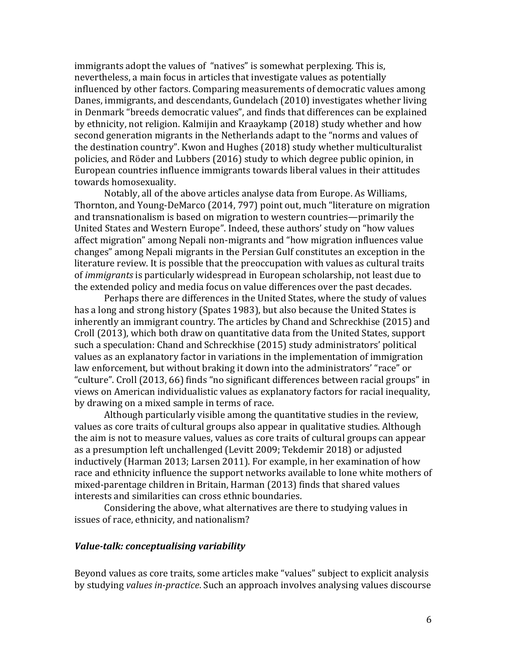immigrants adopt the values of "natives" is somewhat perplexing. This is, nevertheless, a main focus in articles that investigate values as potentially influenced by other factors. Comparing measurements of democratic values among Danes, immigrants, and descendants, Gundelach (2010) investigates whether living in Denmark "breeds democratic values", and finds that differences can be explained by ethnicity, not religion. Kalmijin and Kraaykamp (2018) study whether and how second generation migrants in the Netherlands adapt to the "norms and values of the destination country". Kwon and Hughes (2018) study whether multiculturalist policies, and Röder and Lubbers (2016) study to which degree public opinion, in European countries influence immigrants towards liberal values in their attitudes towards homosexuality.

Notably, all of the above articles analyse data from Europe. As Williams, Thornton, and Young-DeMarco (2014, 797) point out, much "literature on migration and transnationalism is based on migration to western countries—primarily the United States and Western Europe". Indeed, these authors' study on "how values affect migration" among Nepali non-migrants and "how migration influences value changes" among Nepali migrants in the Persian Gulf constitutes an exception in the literature review. It is possible that the preoccupation with values as cultural traits of *immigrants* is particularly widespread in European scholarship, not least due to the extended policy and media focus on value differences over the past decades.

Perhaps there are differences in the United States, where the study of values has a long and strong history (Spates 1983), but also because the United States is inherently an immigrant country. The articles by Chand and Schreckhise (2015) and Croll (2013), which both draw on quantitative data from the United States, support such a speculation: Chand and Schreckhise (2015) study administrators' political values as an explanatory factor in variations in the implementation of immigration law enforcement, but without braking it down into the administrators' "race" or "culture". Croll (2013, 66) finds "no significant differences between racial groups" in views on American individualistic values as explanatory factors for racial inequality, by drawing on a mixed sample in terms of race.

Although particularly visible among the quantitative studies in the review, values as core traits of cultural groups also appear in qualitative studies. Although the aim is not to measure values, values as core traits of cultural groups can appear as a presumption left unchallenged (Levitt 2009; Tekdemir 2018) or adjusted inductively (Harman 2013; Larsen 2011). For example, in her examination of how race and ethnicity influence the support networks available to lone white mothers of mixed-parentage children in Britain, Harman (2013) finds that shared values interests and similarities can cross ethnic boundaries.

Considering the above, what alternatives are there to studying values in issues of race, ethnicity, and nationalism?

#### *Value-talk: conceptualising variability*

Beyond values as core traits, some articles make "values" subject to explicit analysis by studying *values in-practice*. Such an approach involves analysing values discourse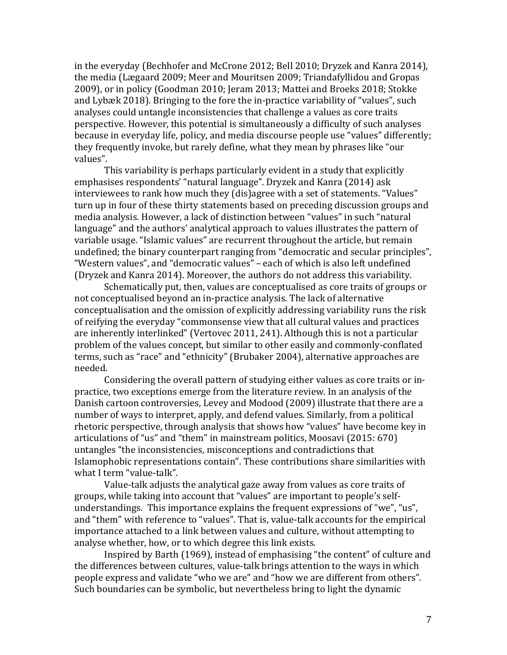in the everyday (Bechhofer and McCrone 2012; Bell 2010; Dryzek and Kanra 2014), the media (Lægaard 2009; Meer and Mouritsen 2009; Triandafyllidou and Gropas 2009), or in policy (Goodman 2010; Jeram 2013; Mattei and Broeks 2018; Stokke and Lybæk 2018). Bringing to the fore the in-practice variability of "values", such analyses could untangle inconsistencies that challenge a values as core traits perspective. However, this potential is simultaneously a difficulty of such analyses because in everyday life, policy, and media discourse people use "values" differently; they frequently invoke, but rarely define, what they mean by phrases like "our values". 

This variability is perhaps particularly evident in a study that explicitly emphasises respondents' "natural language". Dryzek and Kanra (2014) ask interviewees to rank how much they (dis)agree with a set of statements. "Values" turn up in four of these thirty statements based on preceding discussion groups and media analysis. However, a lack of distinction between "values" in such "natural language" and the authors' analytical approach to values illustrates the pattern of variable usage. "Islamic values" are recurrent throughout the article, but remain undefined; the binary counterpart ranging from "democratic and secular principles", "Western values", and "democratic values" - each of which is also left undefined (Dryzek and Kanra 2014). Moreover, the authors do not address this variability.

Schematically put, then, values are conceptualised as core traits of groups or not conceptualised beyond an in-practice analysis. The lack of alternative conceptualisation and the omission of explicitly addressing variability runs the risk of reifying the everyday "commonsense view that all cultural values and practices are inherently interlinked" (Vertovec 2011, 241). Although this is not a particular problem of the values concept, but similar to other easily and commonly-conflated terms, such as "race" and "ethnicity" (Brubaker 2004), alternative approaches are needed. 

Considering the overall pattern of studying either values as core traits or inpractice, two exceptions emerge from the literature review. In an analysis of the Danish cartoon controversies, Levey and Modood (2009) illustrate that there are a number of ways to interpret, apply, and defend values. Similarly, from a political rhetoric perspective, through analysis that shows how "values" have become key in articulations of "us" and "them" in mainstream politics, Moosavi  $(2015: 670)$ untangles "the inconsistencies, misconceptions and contradictions that Islamophobic representations contain". These contributions share similarities with what I term "value-talk".

Value-talk adjusts the analytical gaze away from values as core traits of groups, while taking into account that "values" are important to people's selfunderstandings. This importance explains the frequent expressions of "we", "us", and "them" with reference to "values". That is, value-talk accounts for the empirical importance attached to a link between values and culture, without attempting to analyse whether, how, or to which degree this link exists.

Inspired by Barth (1969), instead of emphasising "the content" of culture and the differences between cultures, value-talk brings attention to the ways in which people express and validate "who we are" and "how we are different from others". Such boundaries can be symbolic, but nevertheless bring to light the dynamic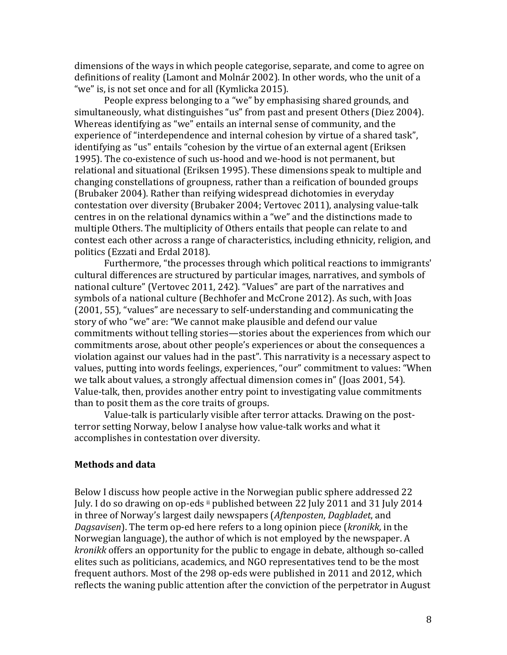dimensions of the ways in which people categorise, separate, and come to agree on definitions of reality (Lamont and Molnár 2002). In other words, who the unit of a "we" is, is not set once and for all (Kymlicka 2015).

People express belonging to a "we" by emphasising shared grounds, and simultaneously, what distinguishes "us" from past and present Others (Diez 2004). Whereas identifying as "we" entails an internal sense of community, and the experience of "interdependence and internal cohesion by virtue of a shared task", identifying as "us" entails "cohesion by the virtue of an external agent (Eriksen 1995). The co-existence of such us-hood and we-hood is not permanent, but relational and situational (Eriksen 1995). These dimensions speak to multiple and changing constellations of groupness, rather than a reification of bounded groups (Brubaker 2004). Rather than reifying widespread dichotomies in everyday contestation over diversity (Brubaker 2004; Vertovec 2011), analysing value-talk centres in on the relational dynamics within a "we" and the distinctions made to multiple Others. The multiplicity of Others entails that people can relate to and contest each other across a range of characteristics, including ethnicity, religion, and politics (Ezzati and Erdal 2018).

Furthermore, "the processes through which political reactions to immigrants' cultural differences are structured by particular images, narratives, and symbols of national culture" (Vertovec 2011, 242). "Values" are part of the narratives and symbols of a national culture (Bechhofer and McCrone 2012). As such, with Joas  $(2001, 55)$ , "values" are necessary to self-understanding and communicating the story of who "we" are: "We cannot make plausible and defend our value commitments without telling stories—stories about the experiences from which our commitments arose, about other people's experiences or about the consequences a violation against our values had in the past". This narrativity is a necessary aspect to values, putting into words feelings, experiences, "our" commitment to values: "When we talk about values, a strongly affectual dimension comes in" (Joas 2001, 54). Value-talk, then, provides another entry point to investigating value commitments than to posit them as the core traits of groups.

Value-talk is particularly visible after terror attacks. Drawing on the postterror setting Norway, below I analyse how value-talk works and what it accomplishes in contestation over diversity.

## **Methods and data**

Below I discuss how people active in the Norwegian public sphere addressed 22 July. I do so drawing on op-eds ii published between 22 July 2011 and 31 July 2014 in three of Norway's largest daily newspapers (Aftenposten, Dagbladet, and *Dagsavisen*). The term op-ed here refers to a long opinion piece (*kronikk*, in the Norwegian language), the author of which is not employed by the newspaper. A *kronikk* offers an opportunity for the public to engage in debate, although so-called elites such as politicians, academics, and NGO representatives tend to be the most frequent authors. Most of the 298 op-eds were published in 2011 and 2012, which reflects the waning public attention after the conviction of the perpetrator in August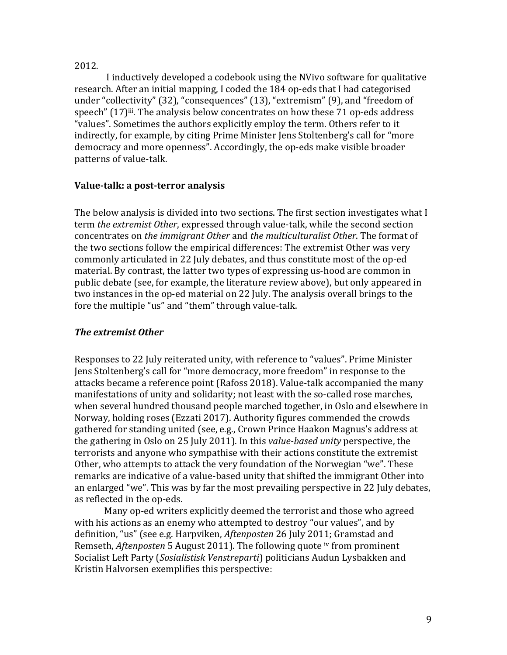# 2012.

I inductively developed a codebook using the NVivo software for qualitative research. After an initial mapping, I coded the 184 op-eds that I had categorised under "collectivity"  $(32)$ , "consequences"  $(13)$ , "extremism"  $(9)$ , and "freedom of speech"  $(17)$ <sup>iii</sup>. The analysis below concentrates on how these 71 op-eds address "values". Sometimes the authors explicitly employ the term. Others refer to it indirectly, for example, by citing Prime Minister Jens Stoltenberg's call for "more democracy and more openness". Accordingly, the op-eds make visible broader patterns of value-talk.

# **Value-talk: a post-terror analysis**

The below analysis is divided into two sections. The first section investigates what I term *the extremist Other*, expressed through value-talk, while the second section concentrates on *the immigrant Other* and *the multiculturalist Other*. The format of the two sections follow the empirical differences: The extremist Other was very commonly articulated in 22 July debates, and thus constitute most of the op-ed material. By contrast, the latter two types of expressing us-hood are common in public debate (see, for example, the literature review above), but only appeared in two instances in the op-ed material on 22 July. The analysis overall brings to the fore the multiple "us" and "them" through value-talk.

# **The extremist Other**

Responses to 22 July reiterated unity, with reference to "values". Prime Minister Jens Stoltenberg's call for "more democracy, more freedom" in response to the attacks became a reference point (Rafoss 2018). Value-talk accompanied the many manifestations of unity and solidarity; not least with the so-called rose marches, when several hundred thousand people marched together, in Oslo and elsewhere in Norway, holding roses (Ezzati 2017). Authority figures commended the crowds gathered for standing united (see, e.g., Crown Prince Haakon Magnus's address at the gathering in Oslo on 25 July 2011). In this *value-based unity* perspective, the terrorists and anyone who sympathise with their actions constitute the extremist Other, who attempts to attack the very foundation of the Norwegian "we". These remarks are indicative of a value-based unity that shifted the immigrant Other into an enlarged "we". This was by far the most prevailing perspective in 22 July debates, as reflected in the op-eds.

Many op-ed writers explicitly deemed the terrorist and those who agreed with his actions as an enemy who attempted to destroy "our values", and by definition, "us" (see e.g. Harpviken, *Aftenposten* 26 July 2011; Gramstad and Remseth, *Aftenposten* 5 August 2011). The following quote iv from prominent Socialist Left Party (Sosialistisk Venstreparti) politicians Audun Lysbakken and Kristin Halvorsen exemplifies this perspective: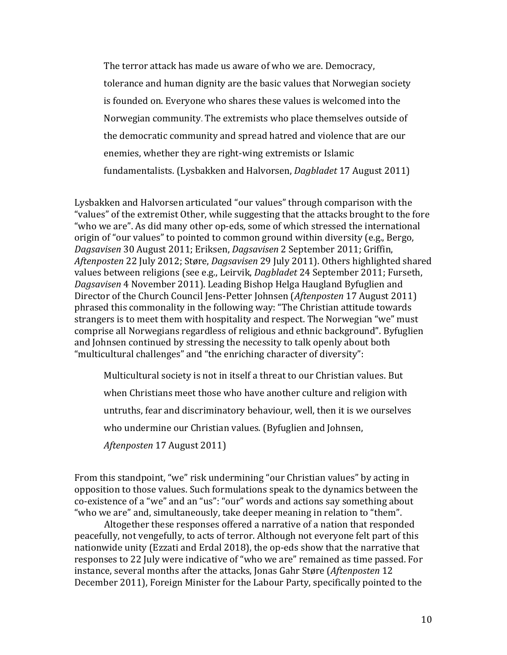The terror attack has made us aware of who we are. Democracy, tolerance and human dignity are the basic values that Norwegian society is founded on. Everyone who shares these values is welcomed into the Norwegian community. The extremists who place themselves outside of the democratic community and spread hatred and violence that are our enemies, whether they are right-wing extremists or Islamic fundamentalists. (Lysbakken and Halvorsen, *Dagbladet* 17 August 2011)

Lysbakken and Halvorsen articulated "our values" through comparison with the "values" of the extremist Other, while suggesting that the attacks brought to the fore "who we are". As did many other op-eds, some of which stressed the international origin of "our values" to pointed to common ground within diversity (e.g., Bergo, *Dagsavisen* 30 August 2011; Eriksen, *Dagsavisen* 2 September 2011; Griffin, Aftenposten 22 July 2012; Støre, *Dagsavisen* 29 July 2011). Others highlighted shared values between religions (see e.g., Leirvik, *Dagbladet* 24 September 2011; Furseth, *Dagsavisen* 4 November 2011). Leading Bishop Helga Haugland Byfuglien and Director of the Church Council Jens-Petter Johnsen (Aftenposten 17 August 2011) phrased this commonality in the following way: "The Christian attitude towards strangers is to meet them with hospitality and respect. The Norwegian "we" must comprise all Norwegians regardless of religious and ethnic background". Byfuglien and Johnsen continued by stressing the necessity to talk openly about both "multicultural challenges" and "the enriching character of diversity":

Multicultural society is not in itself a threat to our Christian values. But when Christians meet those who have another culture and religion with untruths, fear and discriminatory behaviour, well, then it is we ourselves who undermine our Christian values. (Byfuglien and Johnsen, *Aftenposten* 17 August 2011)

From this standpoint, "we" risk undermining "our Christian values" by acting in opposition to those values. Such formulations speak to the dynamics between the co-existence of a "we" and an "us": "our" words and actions say something about "who we are" and, simultaneously, take deeper meaning in relation to "them".

Altogether these responses offered a narrative of a nation that responded peacefully, not vengefully, to acts of terror. Although not everyone felt part of this nationwide unity (Ezzati and Erdal 2018), the op-eds show that the narrative that responses to 22 July were indicative of "who we are" remained as time passed. For instance, several months after the attacks, Jonas Gahr Støre (Aftenposten 12 December 2011), Foreign Minister for the Labour Party, specifically pointed to the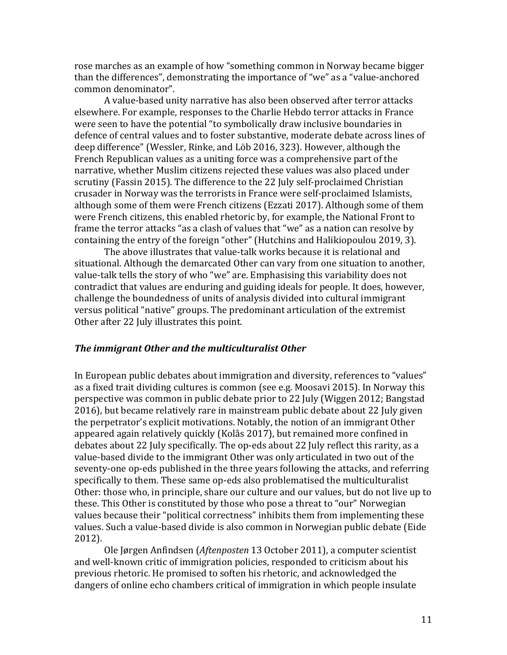rose marches as an example of how "something common in Norway became bigger than the differences", demonstrating the importance of "we" as a "value-anchored common denominator". 

A value-based unity narrative has also been observed after terror attacks elsewhere. For example, responses to the Charlie Hebdo terror attacks in France were seen to have the potential "to symbolically draw inclusive boundaries in defence of central values and to foster substantive, moderate debate across lines of deep difference" (Wessler, Rinke, and Löb 2016, 323). However, although the French Republican values as a uniting force was a comprehensive part of the narrative, whether Muslim citizens rejected these values was also placed under scrutiny (Fassin 2015). The difference to the 22 July self-proclaimed Christian crusader in Norway was the terrorists in France were self-proclaimed Islamists, although some of them were French citizens (Ezzati 2017). Although some of them were French citizens, this enabled rhetoric by, for example, the National Front to frame the terror attacks "as a clash of values that "we" as a nation can resolve by containing the entry of the foreign "other" (Hutchins and Halikiopoulou 2019, 3).

The above illustrates that value-talk works because it is relational and situational. Although the demarcated Other can vary from one situation to another, value-talk tells the story of who "we" are. Emphasising this variability does not contradict that values are enduring and guiding ideals for people. It does, however, challenge the boundedness of units of analysis divided into cultural immigrant versus political "native" groups. The predominant articulation of the extremist Other after 22 July illustrates this point.

#### The immigrant Other and the multiculturalist Other

In European public debates about immigration and diversity, references to "values" as a fixed trait dividing cultures is common (see e.g. Moosavi 2015). In Norway this perspective was common in public debate prior to 22 July (Wiggen 2012; Bangstad 2016), but became relatively rare in mainstream public debate about 22 July given the perpetrator's explicit motivations. Notably, the notion of an immigrant Other appeared again relatively quickly (Kolås 2017), but remained more confined in debates about 22 July specifically. The op-eds about 22 July reflect this rarity, as a value-based divide to the immigrant Other was only articulated in two out of the seventy-one op-eds published in the three years following the attacks, and referring specifically to them. These same op-eds also problematised the multiculturalist Other: those who, in principle, share our culture and our values, but do not live up to these. This Other is constituted by those who pose a threat to "our" Norwegian values because their "political correctness" inhibits them from implementing these values. Such a value-based divide is also common in Norwegian public debate (Eide 2012).

Ole Jørgen Anfindsen (Aftenposten 13 October 2011), a computer scientist and well-known critic of immigration policies, responded to criticism about his previous rhetoric. He promised to soften his rhetoric, and acknowledged the dangers of online echo chambers critical of immigration in which people insulate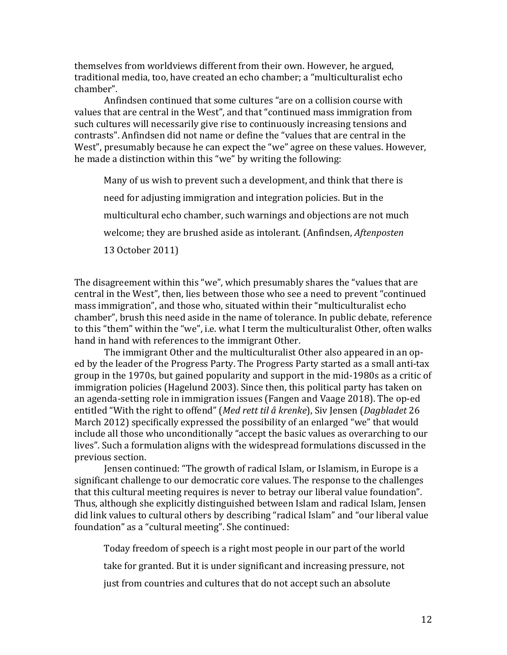themselves from worldviews different from their own. However, he argued, traditional media, too, have created an echo chamber; a "multiculturalist echo chamber". 

Anfindsen continued that some cultures "are on a collision course with values that are central in the West", and that "continued mass immigration from such cultures will necessarily give rise to continuously increasing tensions and contrasts". Anfindsen did not name or define the "values that are central in the West", presumably because he can expect the "we" agree on these values. However, he made a distinction within this "we" by writing the following:

Many of us wish to prevent such a development, and think that there is need for adjusting immigration and integration policies. But in the multicultural echo chamber, such warnings and objections are not much welcome; they are brushed aside as intolerant. (Anfindsen, *Aftenposten*) 13 October 2011)

The disagreement within this "we", which presumably shares the "values that are central in the West", then, lies between those who see a need to prevent "continued mass immigration", and those who, situated within their "multiculturalist echo chamber", brush this need aside in the name of tolerance. In public debate, reference to this "them" within the "we", i.e. what I term the multiculturalist Other, often walks hand in hand with references to the immigrant Other.

The immigrant Other and the multiculturalist Other also appeared in an oped by the leader of the Progress Party. The Progress Party started as a small anti-tax group in the 1970s, but gained popularity and support in the mid-1980s as a critic of immigration policies (Hagelund 2003). Since then, this political party has taken on an agenda-setting role in immigration issues (Fangen and Vaage 2018). The op-ed entitled "With the right to offend" (Med rett til å krenke), Siv Jensen (*Dagbladet* 26 March 2012) specifically expressed the possibility of an enlarged "we" that would include all those who unconditionally "accept the basic values as overarching to our lives". Such a formulation aligns with the widespread formulations discussed in the previous section.

Jensen continued: "The growth of radical Islam, or Islamism, in Europe is a significant challenge to our democratic core values. The response to the challenges that this cultural meeting requires is never to betray our liberal value foundation". Thus, although she explicitly distinguished between Islam and radical Islam, Jensen did link values to cultural others by describing "radical Islam" and "our liberal value foundation" as a "cultural meeting". She continued:

Today freedom of speech is a right most people in our part of the world

take for granted. But it is under significant and increasing pressure, not

just from countries and cultures that do not accept such an absolute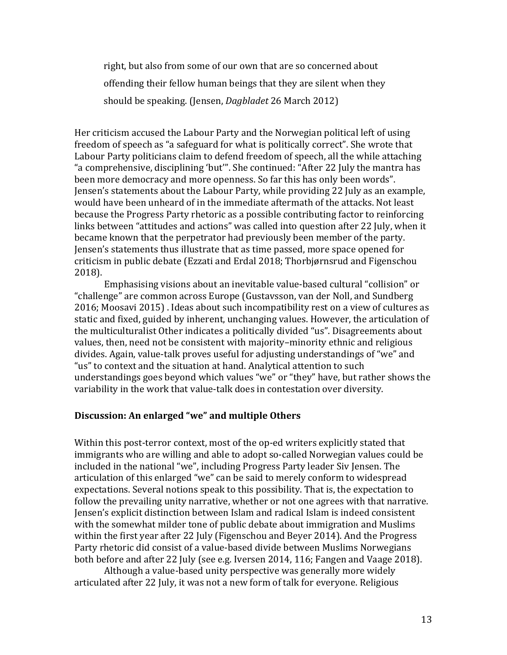right, but also from some of our own that are so concerned about offending their fellow human beings that they are silent when they should be speaking. (Jensen, *Dagbladet* 26 March 2012)

Her criticism accused the Labour Party and the Norwegian political left of using freedom of speech as "a safeguard for what is politically correct". She wrote that Labour Party politicians claim to defend freedom of speech, all the while attaching "a comprehensive, disciplining 'but'". She continued: "After 22 July the mantra has been more democracy and more openness. So far this has only been words". Jensen's statements about the Labour Party, while providing 22 July as an example, would have been unheard of in the immediate aftermath of the attacks. Not least because the Progress Party rhetoric as a possible contributing factor to reinforcing links between "attitudes and actions" was called into question after 22 July, when it became known that the perpetrator had previously been member of the party. Jensen's statements thus illustrate that as time passed, more space opened for criticism in public debate (Ezzati and Erdal 2018; Thorbjørnsrud and Figenschou 2018).

Emphasising visions about an inevitable value-based cultural "collision" or "challenge" are common across Europe (Gustavsson, van der Noll, and Sundberg 2016; Moosavi 2015). Ideas about such incompatibility rest on a view of cultures as static and fixed, guided by inherent, unchanging values. However, the articulation of the multiculturalist Other indicates a politically divided "us". Disagreements about values, then, need not be consistent with majority-minority ethnic and religious divides. Again, value-talk proves useful for adjusting understandings of "we" and "us" to context and the situation at hand. Analytical attention to such understandings goes beyond which values "we" or "they" have, but rather shows the variability in the work that value-talk does in contestation over diversity.

## Discussion: An enlarged "we" and multiple Others

Within this post-terror context, most of the op-ed writers explicitly stated that immigrants who are willing and able to adopt so-called Norwegian values could be included in the national "we", including Progress Party leader Siv Jensen. The articulation of this enlarged "we" can be said to merely conform to widespread expectations. Several notions speak to this possibility. That is, the expectation to follow the prevailing unity narrative, whether or not one agrees with that narrative. Jensen's explicit distinction between Islam and radical Islam is indeed consistent with the somewhat milder tone of public debate about immigration and Muslims within the first year after 22 July (Figenschou and Beyer 2014). And the Progress Party rhetoric did consist of a value-based divide between Muslims Norwegians both before and after 22 July (see e.g. Iversen 2014, 116; Fangen and Vaage 2018).

Although a value-based unity perspective was generally more widely articulated after 22 July, it was not a new form of talk for everyone. Religious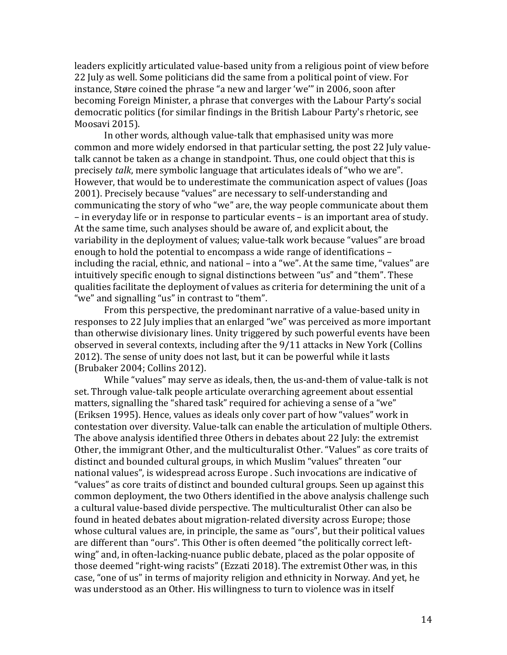leaders explicitly articulated value-based unity from a religious point of view before 22 July as well. Some politicians did the same from a political point of view. For instance. Støre coined the phrase "a new and larger 'we'" in 2006, soon after becoming Foreign Minister, a phrase that converges with the Labour Party's social democratic politics (for similar findings in the British Labour Party's rhetoric, see Moosavi 2015).

In other words, although value-talk that emphasised unity was more common and more widely endorsed in that particular setting, the post 22 July valuetalk cannot be taken as a change in standpoint. Thus, one could object that this is precisely *talk*, mere symbolic language that articulates ideals of "who we are". However, that would be to underestimate the communication aspect of values (Joas 2001). Precisely because "values" are necessary to self-understanding and communicating the story of who "we" are, the way people communicate about them – in everyday life or in response to particular events – is an important area of study. At the same time, such analyses should be aware of, and explicit about, the variability in the deployment of values; value-talk work because "values" are broad enough to hold the potential to encompass a wide range of identifications  $$ including the racial, ethnic, and national – into a "we". At the same time, "values" are intuitively specific enough to signal distinctions between "us" and "them". These qualities facilitate the deployment of values as criteria for determining the unit of a "we" and signalling "us" in contrast to "them".

From this perspective, the predominant narrative of a value-based unity in responses to 22 July implies that an enlarged "we" was perceived as more important than otherwise divisionary lines. Unity triggered by such powerful events have been observed in several contexts, including after the 9/11 attacks in New York (Collins 2012). The sense of unity does not last, but it can be powerful while it lasts (Brubaker 2004; Collins 2012).

While "values" may serve as ideals, then, the us-and-them of value-talk is not set. Through value-talk people articulate overarching agreement about essential matters, signalling the "shared task" required for achieving a sense of a "we" (Eriksen 1995). Hence, values as ideals only cover part of how "values" work in contestation over diversity. Value-talk can enable the articulation of multiple Others. The above analysis identified three Others in debates about 22 July: the extremist Other, the immigrant Other, and the multiculturalist Other. "Values" as core traits of distinct and bounded cultural groups, in which Muslim "values" threaten "our national values", is widespread across Europe . Such invocations are indicative of "values" as core traits of distinct and bounded cultural groups. Seen up against this common deployment, the two Others identified in the above analysis challenge such a cultural value-based divide perspective. The multiculturalist Other can also be found in heated debates about migration-related diversity across Europe; those whose cultural values are, in principle, the same as "ours", but their political values are different than "ours". This Other is often deemed "the politically correct leftwing" and, in often-lacking-nuance public debate, placed as the polar opposite of those deemed "right-wing racists" (Ezzati 2018). The extremist Other was, in this case, "one of us" in terms of majority religion and ethnicity in Norway. And yet, he was understood as an Other. His willingness to turn to violence was in itself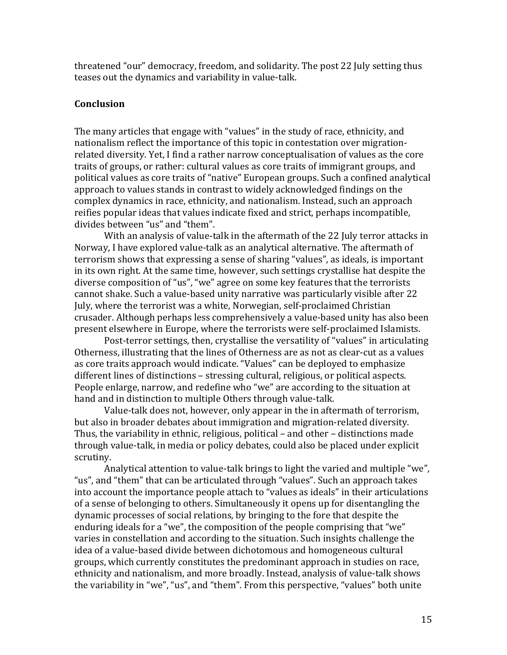threatened "our" democracy, freedom, and solidarity. The post 22 July setting thus teases out the dynamics and variability in value-talk.

# **Conclusion**

The many articles that engage with "values" in the study of race, ethnicity, and nationalism reflect the importance of this topic in contestation over migrationrelated diversity. Yet, I find a rather narrow conceptualisation of values as the core traits of groups, or rather: cultural values as core traits of immigrant groups, and political values as core traits of "native" European groups. Such a confined analytical approach to values stands in contrast to widely acknowledged findings on the complex dynamics in race, ethnicity, and nationalism. Instead, such an approach reifies popular ideas that values indicate fixed and strict, perhaps incompatible, divides between "us" and "them".

With an analysis of value-talk in the aftermath of the 22 July terror attacks in Norway, I have explored value-talk as an analytical alternative. The aftermath of terrorism shows that expressing a sense of sharing "values", as ideals, is important in its own right. At the same time, however, such settings crystallise hat despite the diverse composition of "us", "we" agree on some key features that the terrorists cannot shake. Such a value-based unity narrative was particularly visible after 22 July, where the terrorist was a white, Norwegian, self-proclaimed Christian crusader. Although perhaps less comprehensively a value-based unity has also been present elsewhere in Europe, where the terrorists were self-proclaimed Islamists.

Post-terror settings, then, crystallise the versatility of "values" in articulating Otherness, illustrating that the lines of Otherness are as not as clear-cut as a values as core traits approach would indicate. "Values" can be deployed to emphasize  $d$ ifferent lines of distinctions  $-$  stressing cultural, religious, or political aspects. People enlarge, narrow, and redefine who "we" are according to the situation at hand and in distinction to multiple Others through value-talk.

Value-talk does not, however, only appear in the in aftermath of terrorism, but also in broader debates about immigration and migration-related diversity. Thus, the variability in ethnic, religious, political  $-$  and other  $-$  distinctions made through value-talk, in media or policy debates, could also be placed under explicit scrutiny. 

Analytical attention to value-talk brings to light the varied and multiple "we", "us", and "them" that can be articulated through "values". Such an approach takes into account the importance people attach to "values as ideals" in their articulations of a sense of belonging to others. Simultaneously it opens up for disentangling the dynamic processes of social relations, by bringing to the fore that despite the enduring ideals for a "we", the composition of the people comprising that "we" varies in constellation and according to the situation. Such insights challenge the idea of a value-based divide between dichotomous and homogeneous cultural groups, which currently constitutes the predominant approach in studies on race, ethnicity and nationalism, and more broadly. Instead, analysis of value-talk shows the variability in "we", "us", and "them". From this perspective, "values" both unite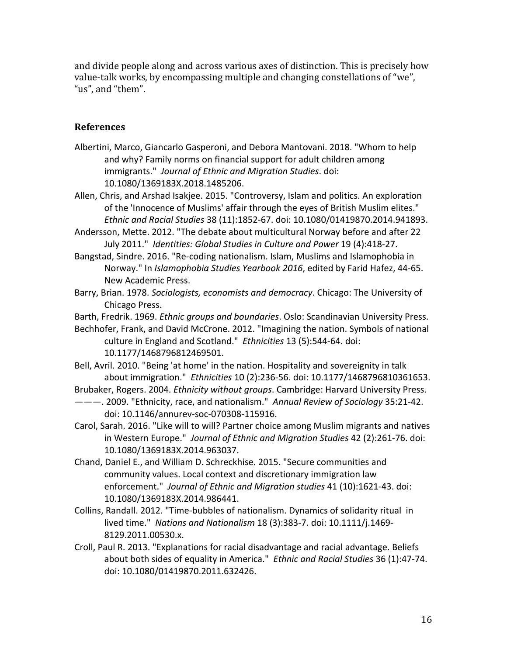and divide people along and across various axes of distinction. This is precisely how value-talk works, by encompassing multiple and changing constellations of "we", "us", and "them".

# **References**

- Albertini, Marco, Giancarlo Gasperoni, and Debora Mantovani. 2018. "Whom to help and why? Family norms on financial support for adult children among immigrants." *Journal of Ethnic and Migration Studies*. doi: 10.1080/1369183X.2018.1485206.
- Allen, Chris, and Arshad Isakjee. 2015. "Controversy, Islam and politics. An exploration of the 'Innocence of Muslims' affair through the eyes of British Muslim elites." *Ethnic and Racial Studies* 38 (11):1852-67. doi: 10.1080/01419870.2014.941893.
- Andersson, Mette. 2012. "The debate about multicultural Norway before and after 22 July 2011." *Identities: Global Studies in Culture and Power* 19 (4):418-27.
- Bangstad, Sindre. 2016. "Re-coding nationalism. Islam, Muslims and Islamophobia in Norway." In *Islamophobia Studies Yearbook 2016*, edited by Farid Hafez, 44-65. New Academic Press.
- Barry, Brian. 1978. *Sociologists, economists and democracy*. Chicago: The University of Chicago Press.
- Barth, Fredrik. 1969. *Ethnic groups and boundaries*. Oslo: Scandinavian University Press.
- Bechhofer, Frank, and David McCrone. 2012. "Imagining the nation. Symbols of national culture in England and Scotland." *Ethnicities* 13 (5):544-64. doi: 10.1177/1468796812469501.
- Bell, Avril. 2010. "Being 'at home' in the nation. Hospitality and sovereignity in talk about immigration." *Ethnicities* 10 (2):236-56. doi: 10.1177/1468796810361653.
- Brubaker, Rogers. 2004. *Ethnicity without groups*. Cambridge: Harvard University Press. ———. 2009. "Ethnicity, race, and nationalism." *Annual Review of Sociology* 35:21-42.
	- doi: 10.1146/annurev-soc-070308-115916.
- Carol, Sarah. 2016. "Like will to will? Partner choice among Muslim migrants and natives in Western Europe." *Journal of Ethnic and Migration Studies* 42 (2):261-76. doi: 10.1080/1369183X.2014.963037.
- Chand, Daniel E., and William D. Schreckhise. 2015. "Secure communities and community values. Local context and discretionary immigration law enforcement." *Journal of Ethnic and Migration studies* 41 (10):1621-43. doi: 10.1080/1369183X.2014.986441.
- Collins, Randall. 2012. "Time-bubbles of nationalism. Dynamics of solidarity ritual in lived time." *Nations and Nationalism* 18 (3):383-7. doi: 10.1111/j.1469- 8129.2011.00530.x.
- Croll, Paul R. 2013. "Explanations for racial disadvantage and racial advantage. Beliefs about both sides of equality in America." *Ethnic and Racial Studies* 36 (1):47-74. doi: 10.1080/01419870.2011.632426.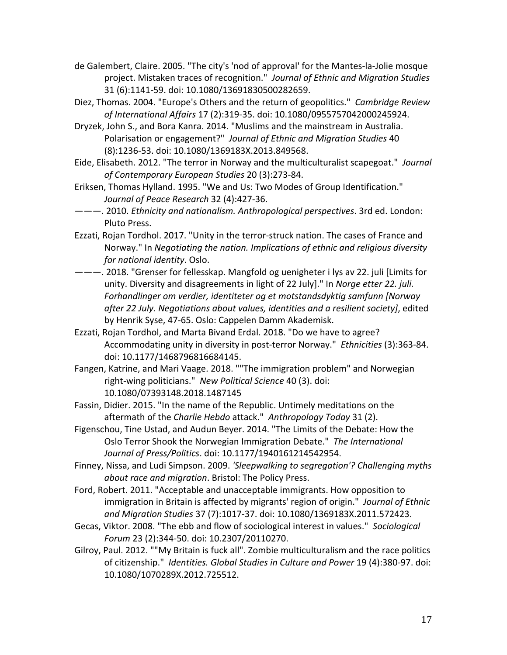- de Galembert, Claire. 2005. "The city's 'nod of approval' for the Mantes-la-Jolie mosque project. Mistaken traces of recognition." *Journal of Ethnic and Migration Studies* 31 (6):1141-59. doi: 10.1080/13691830500282659.
- Diez, Thomas. 2004. "Europe's Others and the return of geopolitics." *Cambridge Review of International Affairs* 17 (2):319-35. doi: 10.1080/0955757042000245924.
- Dryzek, John S., and Bora Kanra. 2014. "Muslims and the mainstream in Australia. Polarisation or engagement?" *Journal of Ethnic and Migration Studies* 40 (8):1236-53. doi: 10.1080/1369183X.2013.849568.
- Eide, Elisabeth. 2012. "The terror in Norway and the multiculturalist scapegoat." *Journal of Contemporary European Studies* 20 (3):273-84.
- Eriksen, Thomas Hylland. 1995. "We and Us: Two Modes of Group Identification." *Journal of Peace Research* 32 (4):427-36.
- ———. 2010. *Ethnicity and nationalism. Anthropological perspectives*. 3rd ed. London: Pluto Press.
- Ezzati, Rojan Tordhol. 2017. "Unity in the terror-struck nation. The cases of France and Norway." In *Negotiating the nation. Implications of ethnic and religious diversity for national identity*. Oslo.
- ———. 2018. "Grenser for fellesskap. Mangfold og uenigheter i lys av 22. juli [Limits for unity. Diversity and disagreements in light of 22 July]." In *Norge etter 22. juli. Forhandlinger om verdier, identiteter og et motstandsdyktig samfunn [Norway after 22 July. Negotiations about values, identities and a resilient society]*, edited by Henrik Syse, 47-65. Oslo: Cappelen Damm Akademisk.
- Ezzati, Rojan Tordhol, and Marta Bivand Erdal. 2018. "Do we have to agree? Accommodating unity in diversity in post-terror Norway." *Ethnicities* (3):363-84. doi: 10.1177/1468796816684145.
- Fangen, Katrine, and Mari Vaage. 2018. ""The immigration problem" and Norwegian right-wing politicians." *New Political Science* 40 (3). doi: 10.1080/07393148.2018.1487145
- Fassin, Didier. 2015. "In the name of the Republic. Untimely meditations on the aftermath of the *Charlie Hebdo* attack." *Anthropology Today* 31 (2).
- Figenschou, Tine Ustad, and Audun Beyer. 2014. "The Limits of the Debate: How the Oslo Terror Shook the Norwegian Immigration Debate." *The International Journal of Press/Politics*. doi: 10.1177/1940161214542954.
- Finney, Nissa, and Ludi Simpson. 2009. *'Sleepwalking to segregation'? Challenging myths about race and migration*. Bristol: The Policy Press.
- Ford, Robert. 2011. "Acceptable and unacceptable immigrants. How opposition to immigration in Britain is affected by migrants' region of origin." *Journal of Ethnic and Migration Studies* 37 (7):1017-37. doi: 10.1080/1369183X.2011.572423.
- Gecas, Viktor. 2008. "The ebb and flow of sociological interest in values." *Sociological Forum* 23 (2):344-50. doi: 10.2307/20110270.
- Gilroy, Paul. 2012. ""My Britain is fuck all". Zombie multiculturalism and the race politics of citizenship." *Identities. Global Studies in Culture and Power* 19 (4):380-97. doi: 10.1080/1070289X.2012.725512.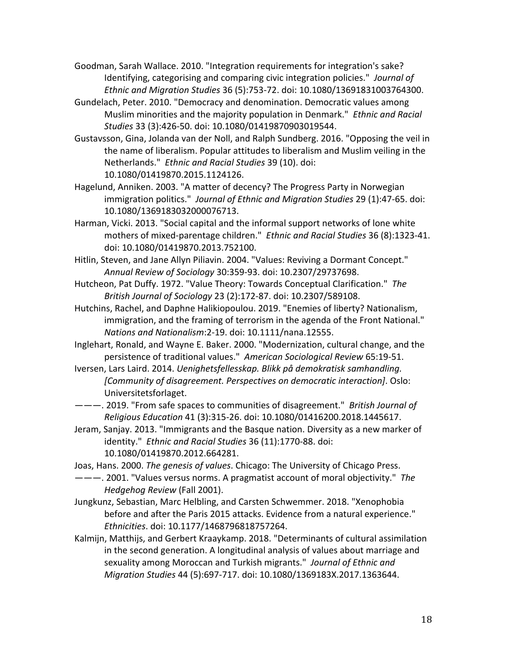Goodman, Sarah Wallace. 2010. "Integration requirements for integration's sake? Identifying, categorising and comparing civic integration policies." *Journal of Ethnic and Migration Studies* 36 (5):753-72. doi: 10.1080/13691831003764300.

- Gundelach, Peter. 2010. "Democracy and denomination. Democratic values among Muslim minorities and the majority population in Denmark." *Ethnic and Racial Studies* 33 (3):426-50. doi: 10.1080/01419870903019544.
- Gustavsson, Gina, Jolanda van der Noll, and Ralph Sundberg. 2016. "Opposing the veil in the name of liberalism. Popular attitudes to liberalism and Muslim veiling in the Netherlands." *Ethnic and Racial Studies* 39 (10). doi: 10.1080/01419870.2015.1124126.
- Hagelund, Anniken. 2003. "A matter of decency? The Progress Party in Norwegian immigration politics." *Journal of Ethnic and Migration Studies* 29 (1):47-65. doi: 10.1080/1369183032000076713.
- Harman, Vicki. 2013. "Social capital and the informal support networks of lone white mothers of mixed-parentage children." *Ethnic and Racial Studies* 36 (8):1323-41. doi: 10.1080/01419870.2013.752100.
- Hitlin, Steven, and Jane Allyn Piliavin. 2004. "Values: Reviving a Dormant Concept." *Annual Review of Sociology* 30:359-93. doi: 10.2307/29737698.
- Hutcheon, Pat Duffy. 1972. "Value Theory: Towards Conceptual Clarification." *The British Journal of Sociology* 23 (2):172-87. doi: 10.2307/589108.
- Hutchins, Rachel, and Daphne Halikiopoulou. 2019. "Enemies of liberty? Nationalism, immigration, and the framing of terrorism in the agenda of the Front National." *Nations and Nationalism*:2-19. doi: 10.1111/nana.12555.
- Inglehart, Ronald, and Wayne E. Baker. 2000. "Modernization, cultural change, and the persistence of traditional values." *American Sociological Review* 65:19-51.
- Iversen, Lars Laird. 2014. *Uenighetsfellesskap. Blikk på demokratisk samhandling. [Community of disagreement. Perspectives on democratic interaction]*. Oslo: Universitetsforlaget.
- ———. 2019. "From safe spaces to communities of disagreement." *British Journal of Religious Education* 41 (3):315-26. doi: 10.1080/01416200.2018.1445617.
- Jeram, Sanjay. 2013. "Immigrants and the Basque nation. Diversity as a new marker of identity." *Ethnic and Racial Studies* 36 (11):1770-88. doi: 10.1080/01419870.2012.664281.
- Joas, Hans. 2000. *The genesis of values*. Chicago: The University of Chicago Press.
- ———. 2001. "Values versus norms. A pragmatist account of moral objectivity." *The Hedgehog Review* (Fall 2001).
- Jungkunz, Sebastian, Marc Helbling, and Carsten Schwemmer. 2018. "Xenophobia before and after the Paris 2015 attacks. Evidence from a natural experience." *Ethnicities*. doi: 10.1177/1468796818757264.
- Kalmijn, Matthijs, and Gerbert Kraaykamp. 2018. "Determinants of cultural assimilation in the second generation. A longitudinal analysis of values about marriage and sexuality among Moroccan and Turkish migrants." *Journal of Ethnic and Migration Studies* 44 (5):697-717. doi: 10.1080/1369183X.2017.1363644.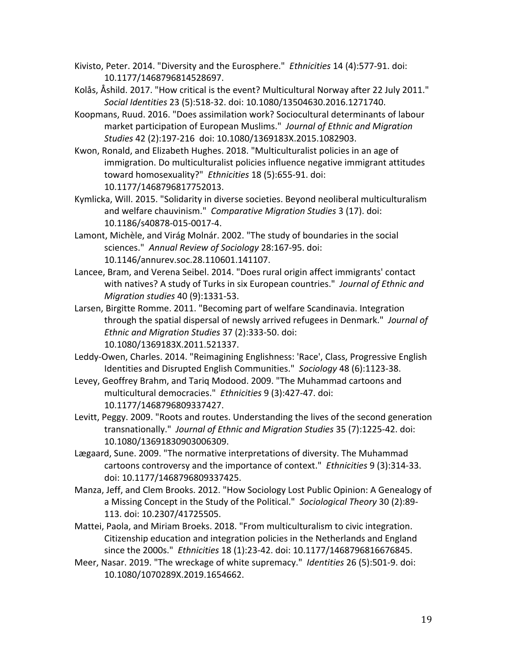- Kivisto, Peter. 2014. "Diversity and the Eurosphere." *Ethnicities* 14 (4):577-91. doi: 10.1177/1468796814528697.
- Kolås, Åshild. 2017. "How critical is the event? Multicultural Norway after 22 July 2011." *Social Identities* 23 (5):518-32. doi: 10.1080/13504630.2016.1271740.
- Koopmans, Ruud. 2016. "Does assimilation work? Sociocultural determinants of labour market participation of European Muslims." *Journal of Ethnic and Migration Studies* 42 (2):197-216 doi: 10.1080/1369183X.2015.1082903.
- Kwon, Ronald, and Elizabeth Hughes. 2018. "Multiculturalist policies in an age of immigration. Do multiculturalist policies influence negative immigrant attitudes toward homosexuality?" *Ethnicities* 18 (5):655-91. doi: 10.1177/1468796817752013.
- Kymlicka, Will. 2015. "Solidarity in diverse societies. Beyond neoliberal multiculturalism and welfare chauvinism." *Comparative Migration Studies* 3 (17). doi: 10.1186/s40878-015-0017-4.
- Lamont, Michèle, and Virág Molnár. 2002. "The study of boundaries in the social sciences." *Annual Review of Sociology* 28:167-95. doi: 10.1146/annurev.soc.28.110601.141107.
- Lancee, Bram, and Verena Seibel. 2014. "Does rural origin affect immigrants' contact with natives? A study of Turks in six European countries." *Journal of Ethnic and Migration studies* 40 (9):1331-53.
- Larsen, Birgitte Romme. 2011. "Becoming part of welfare Scandinavia. Integration through the spatial dispersal of newsly arrived refugees in Denmark." *Journal of Ethnic and Migration Studies* 37 (2):333-50. doi: 10.1080/1369183X.2011.521337.
- Leddy-Owen, Charles. 2014. "Reimagining Englishness: 'Race', Class, Progressive English Identities and Disrupted English Communities." *Sociology* 48 (6):1123-38.
- Levey, Geoffrey Brahm, and Tariq Modood. 2009. "The Muhammad cartoons and multicultural democracies." *Ethnicities* 9 (3):427-47. doi: 10.1177/1468796809337427.
- Levitt, Peggy. 2009. "Roots and routes. Understanding the lives of the second generation transnationally." *Journal of Ethnic and Migration Studies* 35 (7):1225-42. doi: 10.1080/13691830903006309.
- Lægaard, Sune. 2009. "The normative interpretations of diversity. The Muhammad cartoons controversy and the importance of context." *Ethnicities* 9 (3):314-33. doi: 10.1177/1468796809337425.
- Manza, Jeff, and Clem Brooks. 2012. "How Sociology Lost Public Opinion: A Genealogy of a Missing Concept in the Study of the Political." *Sociological Theory* 30 (2):89- 113. doi: 10.2307/41725505.
- Mattei, Paola, and Miriam Broeks. 2018. "From multiculturalism to civic integration. Citizenship education and integration policies in the Netherlands and England since the 2000s." *Ethnicities* 18 (1):23-42. doi: 10.1177/1468796816676845.
- Meer, Nasar. 2019. "The wreckage of white supremacy." *Identities* 26 (5):501-9. doi: 10.1080/1070289X.2019.1654662.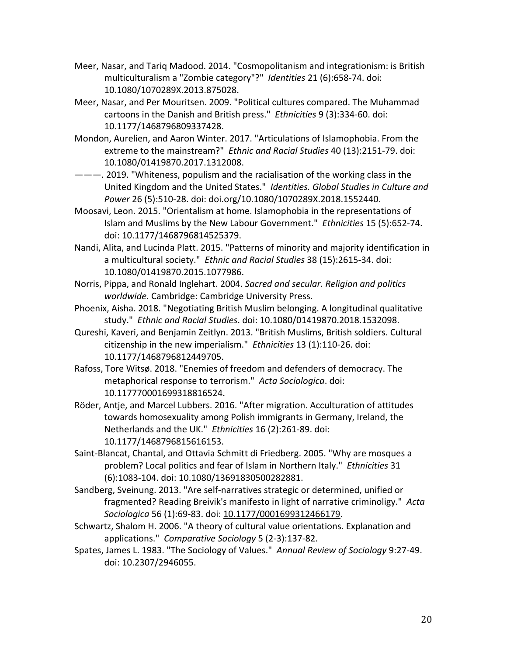- Meer, Nasar, and Tariq Madood. 2014. "Cosmopolitanism and integrationism: is British multiculturalism a "Zombie category"?" *Identities* 21 (6):658-74. doi: 10.1080/1070289X.2013.875028.
- Meer, Nasar, and Per Mouritsen. 2009. "Political cultures compared. The Muhammad cartoons in the Danish and British press." *Ethnicities* 9 (3):334-60. doi: 10.1177/1468796809337428.
- Mondon, Aurelien, and Aaron Winter. 2017. "Articulations of Islamophobia. From the extreme to the mainstream?" *Ethnic and Racial Studies* 40 (13):2151-79. doi: 10.1080/01419870.2017.1312008.
- ———. 2019. "Whiteness, populism and the racialisation of the working class in the United Kingdom and the United States." *Identities. Global Studies in Culture and Power* 26 (5):510-28. doi: doi.org/10.1080/1070289X.2018.1552440.
- Moosavi, Leon. 2015. "Orientalism at home. Islamophobia in the representations of Islam and Muslims by the New Labour Government." *Ethnicities* 15 (5):652-74. doi: 10.1177/1468796814525379.
- Nandi, Alita, and Lucinda Platt. 2015. "Patterns of minority and majority identification in a multicultural society." *Ethnic and Racial Studies* 38 (15):2615-34. doi: 10.1080/01419870.2015.1077986.
- Norris, Pippa, and Ronald Inglehart. 2004. *Sacred and secular. Religion and politics worldwide*. Cambridge: Cambridge University Press.
- Phoenix, Aisha. 2018. "Negotiating British Muslim belonging. A longitudinal qualitative study." *Ethnic and Racial Studies*. doi: 10.1080/01419870.2018.1532098.
- Qureshi, Kaveri, and Benjamin Zeitlyn. 2013. "British Muslims, British soldiers. Cultural citizenship in the new imperialism." *Ethnicities* 13 (1):110-26. doi: 10.1177/1468796812449705.
- Rafoss, Tore Witsø. 2018. "Enemies of freedom and defenders of democracy. The metaphorical response to terrorism." *Acta Sociologica*. doi: 10.117770001699318816524.
- Röder, Antje, and Marcel Lubbers. 2016. "After migration. Acculturation of attitudes towards homosexuality among Polish immigrants in Germany, Ireland, the Netherlands and the UK." *Ethnicities* 16 (2):261-89. doi: 10.1177/1468796815616153.
- Saint-Blancat, Chantal, and Ottavia Schmitt di Friedberg. 2005. "Why are mosques a problem? Local politics and fear of Islam in Northern Italy." *Ethnicities* 31 (6):1083-104. doi: 10.1080/13691830500282881.
- Sandberg, Sveinung. 2013. "Are self-narratives strategic or determined, unified or fragmented? Reading Breivik's manifesto in light of narrative criminoligy." *Acta Sociologica* 56 (1):69-83. doi: 10.1177/0001699312466179.
- Schwartz, Shalom H. 2006. "A theory of cultural value orientations. Explanation and applications." *Comparative Sociology* 5 (2-3):137-82.
- Spates, James L. 1983. "The Sociology of Values." *Annual Review of Sociology* 9:27-49. doi: 10.2307/2946055.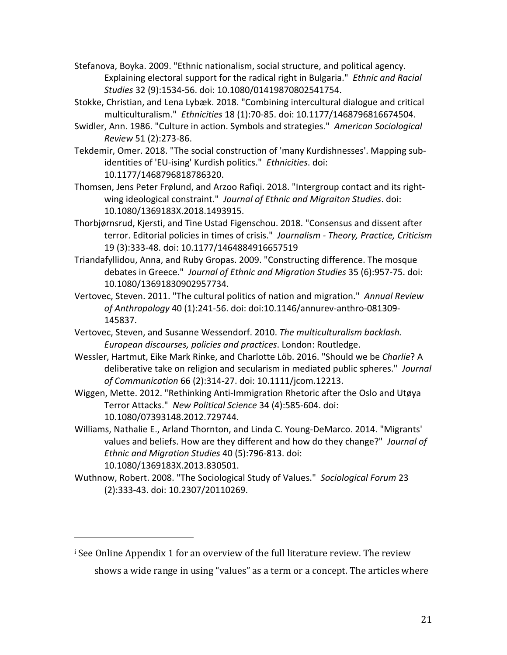Stefanova, Boyka. 2009. "Ethnic nationalism, social structure, and political agency. Explaining electoral support for the radical right in Bulgaria." *Ethnic and Racial Studies* 32 (9):1534-56. doi: 10.1080/01419870802541754.

Stokke, Christian, and Lena Lybæk. 2018. "Combining intercultural dialogue and critical multiculturalism." *Ethnicities* 18 (1):70-85. doi: 10.1177/1468796816674504.

Swidler, Ann. 1986. "Culture in action. Symbols and strategies." *American Sociological Review* 51 (2):273-86.

Tekdemir, Omer. 2018. "The social construction of 'many Kurdishnesses'. Mapping subidentities of 'EU-ising' Kurdish politics." *Ethnicities*. doi: 10.1177/1468796818786320.

Thomsen, Jens Peter Frølund, and Arzoo Rafiqi. 2018. "Intergroup contact and its rightwing ideological constraint." *Journal of Ethnic and Migraiton Studies*. doi: 10.1080/1369183X.2018.1493915.

Thorbjørnsrud, Kjersti, and Tine Ustad Figenschou. 2018. "Consensus and dissent after terror. Editorial policies in times of crisis." *Journalism - Theory, Practice, Criticism* 19 (3):333-48. doi: 10.1177/1464884916657519

Triandafyllidou, Anna, and Ruby Gropas. 2009. "Constructing difference. The mosque debates in Greece." *Journal of Ethnic and Migration Studies* 35 (6):957-75. doi: 10.1080/13691830902957734.

Vertovec, Steven. 2011. "The cultural politics of nation and migration." *Annual Review of Anthropology* 40 (1):241-56. doi: doi:10.1146/annurev-anthro-081309- 145837.

Vertovec, Steven, and Susanne Wessendorf. 2010. *The multiculturalism backlash. European discourses, policies and practices*. London: Routledge.

Wessler, Hartmut, Eike Mark Rinke, and Charlotte Löb. 2016. "Should we be *Charlie*? A deliberative take on religion and secularism in mediated public spheres." *Journal of Communication* 66 (2):314-27. doi: 10.1111/jcom.12213.

Wiggen, Mette. 2012. "Rethinking Anti-Immigration Rhetoric after the Oslo and Utøya Terror Attacks." *New Political Science* 34 (4):585-604. doi: 10.1080/07393148.2012.729744.

Williams, Nathalie E., Arland Thornton, and Linda C. Young-DeMarco. 2014. "Migrants' values and beliefs. How are they different and how do they change?" *Journal of Ethnic and Migration Studies* 40 (5):796-813. doi: 10.1080/1369183X.2013.830501.

Wuthnow, Robert. 2008. "The Sociological Study of Values." *Sociological Forum* 23 (2):333-43. doi: 10.2307/20110269.

 $\mathbf{r}$  See Online Appendix 1 for an overview of the full literature review. The review shows a wide range in using "values" as a term or a concept. The articles where